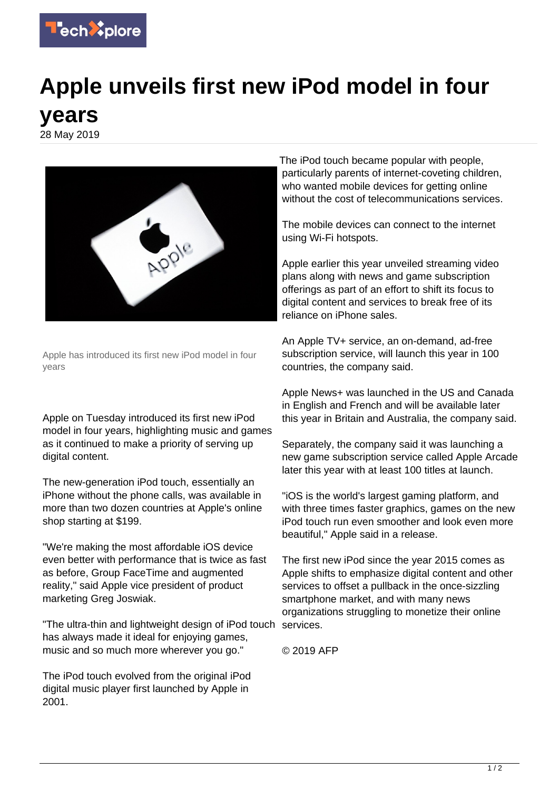

## **Apple unveils first new iPod model in four years**

28 May 2019



Apple has introduced its first new iPod model in four years

Apple on Tuesday introduced its first new iPod model in four years, highlighting music and games as it continued to make a priority of serving up digital content.

The new-generation iPod touch, essentially an iPhone without the phone calls, was available in more than two dozen countries at Apple's online shop starting at \$199.

"We're making the most affordable iOS device even better with performance that is twice as fast as before, Group FaceTime and augmented reality," said Apple vice president of product marketing Greg Joswiak.

"The ultra-thin and lightweight design of iPod touch services. has always made it ideal for enjoying games, music and so much more wherever you go."

The iPod touch evolved from the original iPod digital music player first launched by Apple in 2001.

The iPod touch became popular with people, particularly parents of internet-coveting children, who wanted mobile devices for getting online without the cost of telecommunications services.

The mobile devices can connect to the internet using Wi-Fi hotspots.

Apple earlier this year unveiled streaming video plans along with news and game subscription offerings as part of an effort to shift its focus to digital content and services to break free of its reliance on iPhone sales.

An Apple TV+ service, an on-demand, ad-free subscription service, will launch this year in 100 countries, the company said.

Apple News+ was launched in the US and Canada in English and French and will be available later this year in Britain and Australia, the company said.

Separately, the company said it was launching a new game subscription service called Apple Arcade later this year with at least 100 titles at launch.

"iOS is the world's largest gaming platform, and with three times faster graphics, games on the new iPod touch run even smoother and look even more beautiful," Apple said in a release.

The first new iPod since the year 2015 comes as Apple shifts to emphasize digital content and other services to offset a pullback in the once-sizzling smartphone market, and with many news organizations struggling to monetize their online

© 2019 AFP